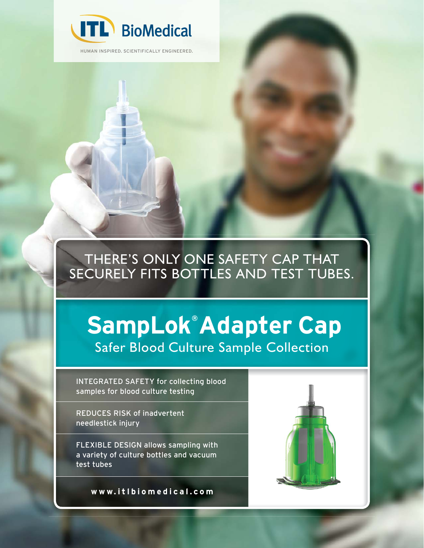

HUMAN INSPIRED. SCIENTIFICALLY ENGINEERED.

### THERE'S ONLY ONE SAFETY CAP THAT SECURELY FITS BOTTLES AND TEST TUBES.

# **SampLok® Adapter Cap** Safer Blood Culture Sample Collection

INTEGRATED SAFETY for collecting blood samples for blood culture testing

REDUCES RISK of inadvertent needlestick injury

FLEXIBLE DESIGN allows sampling with a variety of culture bottles and vacuum test tubes

**www.itlbiomedical.com**